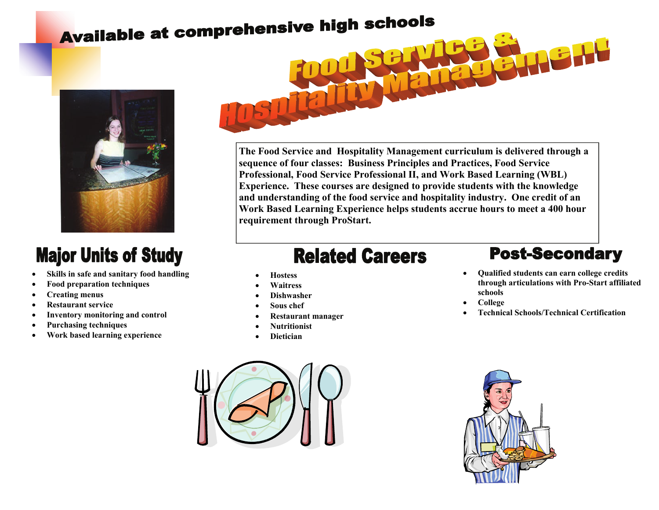## Available at comprehensive high schools



### **Major Units of Study**

- **Skills in safe and sanitary food handling**
- **Food preparation techniques**
- **Creating menus**
- **Restaurant service**
- **Inventory monitoring and control**
- **Purchasing techniques**
- **Work based learning experience**

# **The Food Service and Hospitality Management curriculum is delivered through a**

**sequence of four classes: Business Principles and Practices, Food Service Professional, Food Service Professional II, and Work Based Learning (WBL) Experience. These courses are designed to provide students with the knowledge and understanding of the food service and hospitality industry. One credit of an Work Based Learning Experience helps students accrue hours to meet a 400 hour requirement through ProStart.** 

#### **Related Careers**

- **Hostess**
- **Waitress**
- **Dishwasher**
- **Sous chef**
- **Restaurant manager**
- **Nutritionist**
- **Dietician**

#### **Post-Secondary**

- **Qualified students can earn college credits through articulations with Pro-Start affiliated schools**
- **College**
- **Technical Schools/Technical Certification**